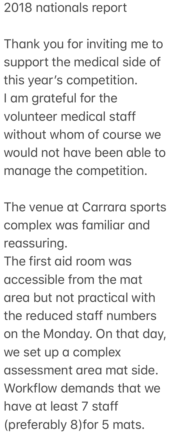## 2018 nationals report

Thank you for inviting me to support the medical side of this year's competition. I am grateful for the volunteer medical staff without whom of course we would not have been able to manage the competition.

The venue at Carrara sports complex was familiar and reassuring.

The first aid room was accessible from the mat area but not practical with the reduced staff numbers on the Monday. On that day, we set up a complex assessment area mat side. Workflow demands that we have at least 7 staff (preferably 8) for 5 mats.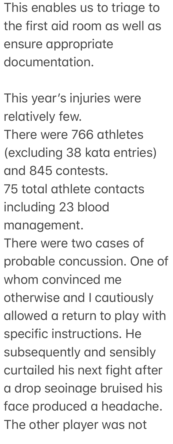This enables us to triage to the first aid room as well as ensure appropriate documentation.

This year's injuries were relatively few. There were 766 athletes (excluding 38 kata entries) and 845 contests.

75 total athlete contacts including 23 blood

management.

There were two cases of probable concussion. One of whom convinced me otherwise and I cautiously allowed a return to play with specific instructions. He subsequently and sensibly curtailed his next fight after a drop seoinage bruised his face produced a headache. The other player was not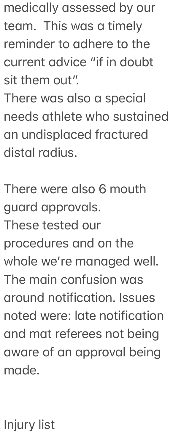medically assessed by our team. This was a timely reminder to adhere to the current advice "if in doubt sit them out".

There was also a special needs athlete who sustained an undisplaced fractured distal radius.

There were also 6 mouth guard approvals. These tested our procedures and on the whole we're managed well. The main confusion was around notification. Issues noted were: late notification and mat referees not being aware of an approval being made.

Injury list